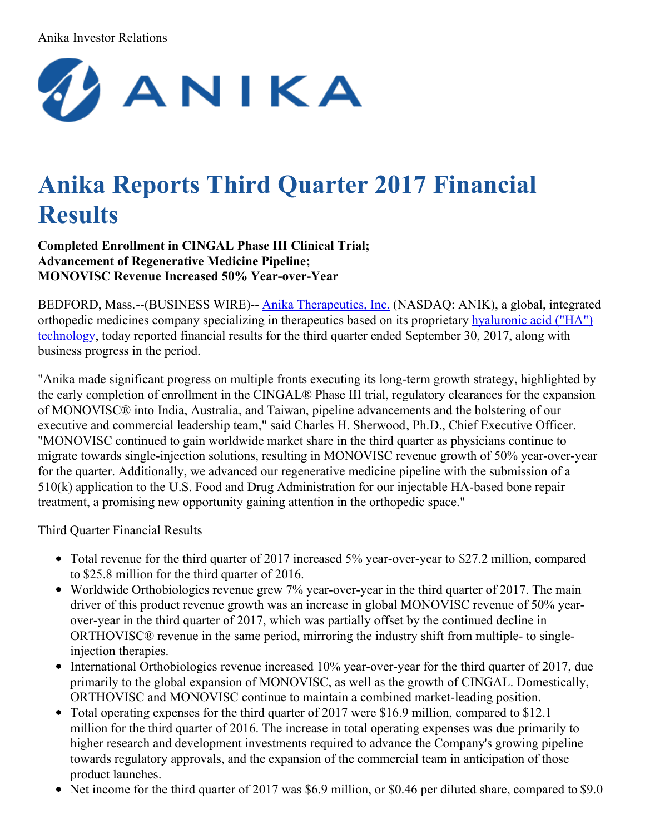#### Anika Investor Relations



# **Anika Reports Third Quarter 2017 Financial Results**

**Completed Enrollment in CINGAL Phase III Clinical Trial; Advancement of Regenerative Medicine Pipeline; MONOVISC Revenue Increased 50% Year-over-Year**

BEDFORD, Mass.--(BUSINESS WIRE)-- Anika [Therapeutics,](http://cts.businesswire.com/ct/CT?id=smartlink&url=http%3A%2F%2Fwww.anikatherapeutics.com&esheet=51705115&newsitemid=20171025006284&lan=en-US&anchor=Anika+Therapeutics%2C+Inc.&index=1&md5=a9f06697b6963e22ae2dc67b52934a75) Inc. (NASDAQ: ANIK), a global, integrated orthopedic medicines company specializing in [therapeutics](http://cts.businesswire.com/ct/CT?id=smartlink&url=http%3A%2F%2Fwww.anikatherapeutics.com%2Ftechnology%2Fha-biology%2F&esheet=51705115&newsitemid=20171025006284&lan=en-US&anchor=hyaluronic+acid+%28%E2%80%9CHA%E2%80%9D%29+technology&index=2&md5=c1ba2e3ce4fb0643e927c99933eac030) based on its proprietary hyaluronic acid ("HA") technology, today reported financial results for the third quarter ended September 30, 2017, along with business progress in the period.

"Anika made significant progress on multiple fronts executing its long-term growth strategy, highlighted by the early completion of enrollment in the CINGAL® Phase III trial, regulatory clearances for the expansion of MONOVISC® into India, Australia, and Taiwan, pipeline advancements and the bolstering of our executive and commercial leadership team," said Charles H. Sherwood, Ph.D., Chief Executive Officer. "MONOVISC continued to gain worldwide market share in the third quarter as physicians continue to migrate towards single-injection solutions, resulting in MONOVISC revenue growth of 50% year-over-year for the quarter. Additionally, we advanced our regenerative medicine pipeline with the submission of a 510(k) application to the U.S. Food and Drug Administration for our injectable HA-based bone repair treatment, a promising new opportunity gaining attention in the orthopedic space."

Third Quarter Financial Results

- Total revenue for the third quarter of 2017 increased 5% year-over-year to \$27.2 million, compared to \$25.8 million for the third quarter of 2016.
- Worldwide Orthobiologics revenue grew 7% year-over-year in the third quarter of 2017. The main driver of this product revenue growth was an increase in global MONOVISC revenue of 50% yearover-year in the third quarter of 2017, which was partially offset by the continued decline in ORTHOVISC® revenue in the same period, mirroring the industry shift from multiple- to singleinjection therapies.
- International Orthobiologics revenue increased 10% year-over-year for the third quarter of 2017, due primarily to the global expansion of MONOVISC, as well as the growth of CINGAL. Domestically, ORTHOVISC and MONOVISC continue to maintain a combined market-leading position.
- Total operating expenses for the third quarter of 2017 were \$16.9 million, compared to \$12.1 million for the third quarter of 2016. The increase in total operating expenses was due primarily to higher research and development investments required to advance the Company's growing pipeline towards regulatory approvals, and the expansion of the commercial team in anticipation of those product launches.
- Net income for the third quarter of 2017 was \$6.9 million, or \$0.46 per diluted share, compared to \$9.0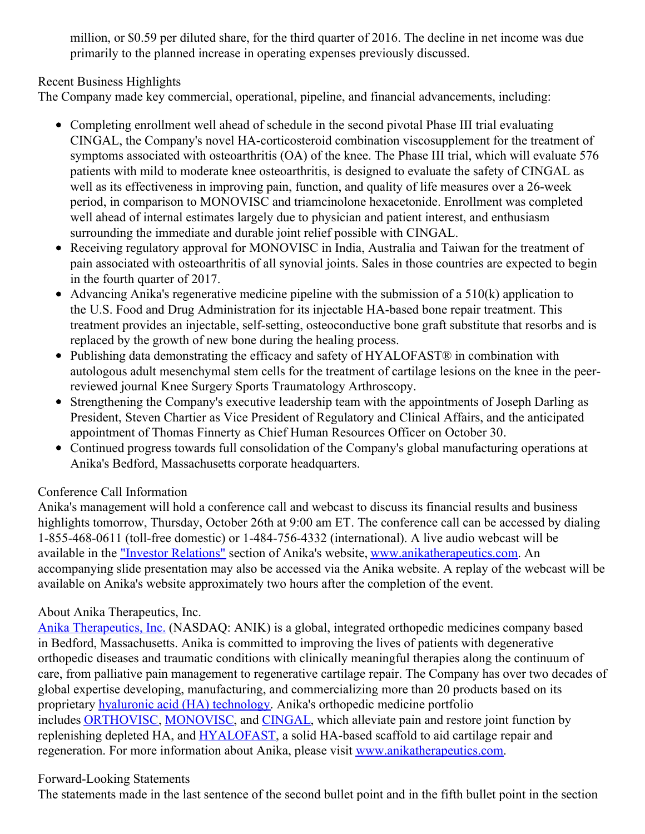million, or \$0.59 per diluted share, for the third quarter of 2016. The decline in net income was due primarily to the planned increase in operating expenses previously discussed.

Recent Business Highlights

The Company made key commercial, operational, pipeline, and financial advancements, including:

- Completing enrollment well ahead of schedule in the second pivotal Phase III trial evaluating CINGAL, the Company's novel HA-corticosteroid combination viscosupplement for the treatment of symptoms associated with osteoarthritis (OA) of the knee. The Phase III trial, which will evaluate 576 patients with mild to moderate knee osteoarthritis, is designed to evaluate the safety of CINGAL as well as its effectiveness in improving pain, function, and quality of life measures over a 26-week period, in comparison to MONOVISC and triamcinolone hexacetonide. Enrollment was completed well ahead of internal estimates largely due to physician and patient interest, and enthusiasm surrounding the immediate and durable joint relief possible with CINGAL.
- Receiving regulatory approval for MONOVISC in India, Australia and Taiwan for the treatment of pain associated with osteoarthritis of all synovial joints. Sales in those countries are expected to begin in the fourth quarter of 2017.
- Advancing Anika's regenerative medicine pipeline with the submission of a  $510(k)$  application to the U.S. Food and Drug Administration for its injectable HA-based bone repair treatment. This treatment provides an injectable, self-setting, osteoconductive bone graft substitute that resorbs and is replaced by the growth of new bone during the healing process.
- Publishing data demonstrating the efficacy and safety of HYALOFAST® in combination with autologous adult mesenchymal stem cells for the treatment of cartilage lesions on the knee in the peerreviewed journal Knee Surgery Sports Traumatology Arthroscopy.
- Strengthening the Company's executive leadership team with the appointments of Joseph Darling as President, Steven Chartier as Vice President of Regulatory and Clinical Affairs, and the anticipated appointment of Thomas Finnerty as Chief Human Resources Officer on October 30.
- Continued progress towards full consolidation of the Company's global manufacturing operations at Anika's Bedford, Massachusetts corporate headquarters.

### Conference Call Information

Anika's management will hold a conference call and webcast to discuss its financial results and business highlights tomorrow, Thursday, October 26th at 9:00 am ET. The conference call can be accessed by dialing 1-855-468-0611 (toll-free domestic) or 1-484-756-4332 (international). A live audio webcast will be available in the "Investor [Relations"](http://cts.businesswire.com/ct/CT?id=smartlink&url=http%3A%2F%2Fir.anikatherapeutics.com%2Fevents.cfm&esheet=51705115&newsitemid=20171025006284&lan=en-US&anchor=%22Investor+Relations%22&index=3&md5=3c06cfa890f53ee51f2cf0c54814fd48) section of Anika's website, [www.anikatherapeutics.com](http://cts.businesswire.com/ct/CT?id=smartlink&url=http%3A%2F%2Fwww.anikatherapeutics.com%2Findex.html&esheet=51705115&newsitemid=20171025006284&lan=en-US&anchor=www.anikatherapeutics.com&index=4&md5=9c901f5c9626f06e0ffa6db9a29efe67). An accompanying slide presentation may also be accessed via the Anika website. A replay of the webcast will be available on Anika's website approximately two hours after the completion of the event.

### About Anika Therapeutics, Inc.

Anika [Therapeutics,](http://cts.businesswire.com/ct/CT?id=smartlink&url=http%3A%2F%2Fwww.anikatherapeutics.com&esheet=51705115&newsitemid=20171025006284&lan=en-US&anchor=Anika+Therapeutics%2C+Inc.&index=5&md5=7659f408aa185a3cad4970b65eca4a02) Inc. (NASDAQ: ANIK) is a global, integrated orthopedic medicines company based in Bedford, Massachusetts. Anika is committed to improving the lives of patients with degenerative orthopedic diseases and traumatic conditions with clinically meaningful therapies along the continuum of care, from palliative pain management to regenerative cartilage repair. The Company has over two decades of global expertise developing, manufacturing, and commercializing more than 20 products based on its proprietary hyaluronic acid (HA) [technology](http://cts.businesswire.com/ct/CT?id=smartlink&url=http%3A%2F%2Fwww.anikatherapeutics.com%2Ftechnology%2Fha-biology%2F&esheet=51705115&newsitemid=20171025006284&lan=en-US&anchor=hyaluronic+acid+%28HA%29+technology&index=6&md5=8341d7fa2e07f8f25f9bfa3a566b0313). Anika's orthopedic medicine portfolio includes [ORTHOVISC](http://cts.businesswire.com/ct/CT?id=smartlink&url=http%3A%2F%2Fwww.anikatherapeutics.com%2Fproducts%2Forthobiologics%2Forthovisc%2F&esheet=51705115&newsitemid=20171025006284&lan=en-US&anchor=ORTHOVISC&index=7&md5=595e833bfea547fb89aa2e03639a5ec2), [MONOVISC](http://cts.businesswire.com/ct/CT?id=smartlink&url=http%3A%2F%2Fwww.anikatherapeutics.com%2Fproducts%2Forthobiologics%2Fmonovisc%2F&esheet=51705115&newsitemid=20171025006284&lan=en-US&anchor=MONOVISC&index=8&md5=fd9b4ed02416894d344dc0f0b596157a), and [CINGAL](http://cts.businesswire.com/ct/CT?id=smartlink&url=http%3A%2F%2Fwww.cingal.com%2F&esheet=51705115&newsitemid=20171025006284&lan=en-US&anchor=CINGAL&index=9&md5=34dac0c8305cad32f23b044b44717dd9), which alleviate pain and restore joint function by replenishing depleted HA, and [HYALOFAST,](http://cts.businesswire.com/ct/CT?id=smartlink&url=http%3A%2F%2Fhyalofast.anikatherapeutics.com%2Fen%2F&esheet=51705115&newsitemid=20171025006284&lan=en-US&anchor=HYALOFAST&index=10&md5=f26383648b536df3cca69d011113577d) a solid HA-based scaffold to aid cartilage repair and regeneration. For more information about Anika, please visit [www.anikatherapeutics.com](http://cts.businesswire.com/ct/CT?id=smartlink&url=http%3A%2F%2Fwww.anikatherapeutics.com&esheet=51705115&newsitemid=20171025006284&lan=en-US&anchor=www.anikatherapeutics.com&index=11&md5=9b0fbb9e38c528dd3c569d17924b3299).

#### Forward-Looking Statements

The statements made in the last sentence of the second bullet point and in the fifth bullet point in the section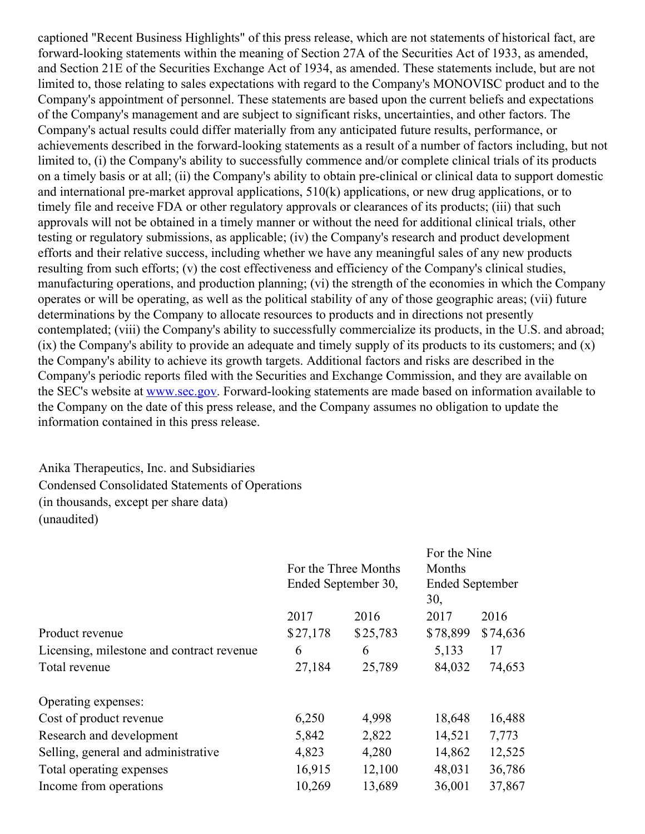captioned "Recent Business Highlights" of this press release, which are not statements of historical fact, are forward-looking statements within the meaning of Section 27A of the Securities Act of 1933, as amended, and Section 21E of the Securities Exchange Act of 1934, as amended. These statements include, but are not limited to, those relating to sales expectations with regard to the Company's MONOVISC product and to the Company's appointment of personnel. These statements are based upon the current beliefs and expectations of the Company's management and are subject to significant risks, uncertainties, and other factors. The Company's actual results could differ materially from any anticipated future results, performance, or achievements described in the forward-looking statements as a result of a number of factors including, but not limited to, (i) the Company's ability to successfully commence and/or complete clinical trials of its products on a timely basis or at all; (ii) the Company's ability to obtain pre-clinical or clinical data to support domestic and international pre-market approval applications, 510(k) applications, or new drug applications, or to timely file and receive FDA or other regulatory approvals or clearances of its products; (iii) that such approvals will not be obtained in a timely manner or without the need for additional clinical trials, other testing or regulatory submissions, as applicable; (iv) the Company's research and product development efforts and their relative success, including whether we have any meaningful sales of any new products resulting from such efforts; (v) the cost effectiveness and efficiency of the Company's clinical studies, manufacturing operations, and production planning; (vi) the strength of the economies in which the Company operates or will be operating, as well as the political stability of any of those geographic areas; (vii) future determinations by the Company to allocate resources to products and in directions not presently contemplated; (viii) the Company's ability to successfully commercialize its products, in the U.S. and abroad; (ix) the Company's ability to provide an adequate and timely supply of its products to its customers; and (x) the Company's ability to achieve its growth targets. Additional factors and risks are described in the Company's periodic reports filed with the Securities and Exchange Commission, and they are available on the SEC's website at [www.sec.gov](http://cts.businesswire.com/ct/CT?id=smartlink&url=http%3A%2F%2Fwww.sec.gov&esheet=51705115&newsitemid=20171025006284&lan=en-US&anchor=www.sec.gov&index=12&md5=014eb6d53b3a59b26f4d41ae3330eae2). Forward-looking statements are made based on information available to the Company on the date of this press release, and the Company assumes no obligation to update the information contained in this press release.

## Anika Therapeutics, Inc. and Subsidiaries Condensed Consolidated Statements of Operations (in thousands, except per share data) (unaudited)

|                                           |          |                      | For the Nine           |          |  |  |
|-------------------------------------------|----------|----------------------|------------------------|----------|--|--|
|                                           |          | For the Three Months |                        |          |  |  |
|                                           |          | Ended September 30,  | <b>Ended September</b> |          |  |  |
|                                           |          |                      | 30,                    |          |  |  |
|                                           | 2017     | 2016                 | 2017                   | 2016     |  |  |
| Product revenue                           | \$27,178 | \$25,783             | \$78,899               | \$74,636 |  |  |
| Licensing, milestone and contract revenue | 6        | 6                    | 5,133                  | 17       |  |  |
| Total revenue                             | 27,184   | 25,789               | 84,032                 | 74,653   |  |  |
| Operating expenses:                       |          |                      |                        |          |  |  |
| Cost of product revenue                   | 6,250    | 4,998                | 18,648                 | 16,488   |  |  |
| Research and development                  | 5,842    | 2,822                | 14,521                 | 7,773    |  |  |
| Selling, general and administrative       | 4,823    | 4,280                | 14,862                 | 12,525   |  |  |
| Total operating expenses                  | 16,915   | 12,100               | 48,031                 | 36,786   |  |  |
| Income from operations                    | 10,269   | 13,689               | 36,001                 | 37,867   |  |  |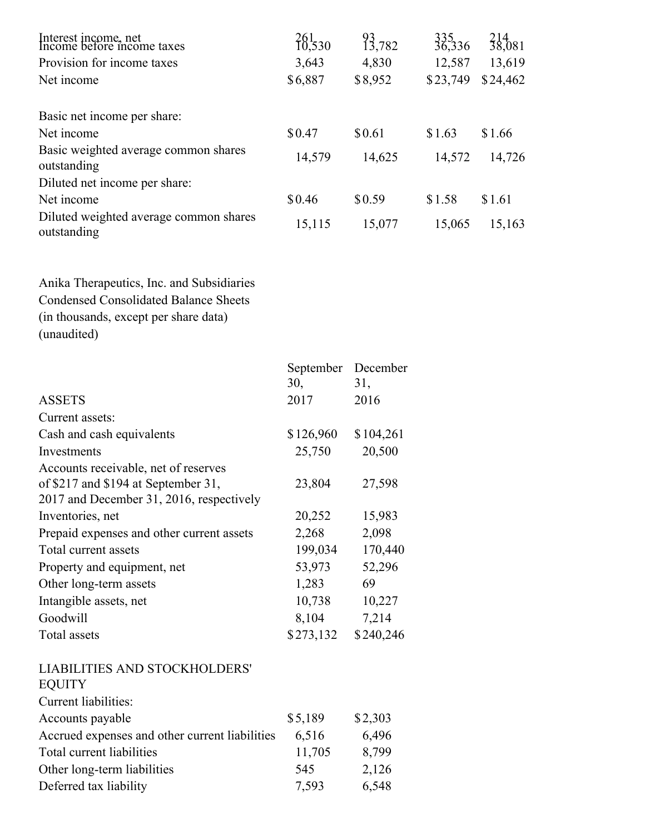| 261<br>10,530 | 93,782  | $335$<br>36,336 | 214<br>38,081 |
|---------------|---------|-----------------|---------------|
| 3,643         | 4,830   | 12,587          | 13,619        |
| \$6,887       | \$8,952 | \$23,749        | \$24,462      |
|               |         |                 |               |
| \$0.47        | \$0.61  | \$1.63          | \$1.66        |
| 14,579        | 14,625  | 14,572          | 14,726        |
|               |         |                 |               |
| \$0.46        | \$0.59  | \$1.58          | \$1.61        |
| 15,115        | 15,077  | 15,065          | 15,163        |
|               |         |                 |               |

Anika Therapeutics, Inc. and Subsidiaries Condensed Consolidated Balance Sheets (in thousands, except per share data) (unaudited)

|                                                | September | December  |
|------------------------------------------------|-----------|-----------|
|                                                | 30,       | 31,       |
| <b>ASSETS</b>                                  | 2017      | 2016      |
| Current assets:                                |           |           |
| Cash and cash equivalents                      | \$126,960 | \$104,261 |
| Investments                                    | 25,750    | 20,500    |
| Accounts receivable, net of reserves           |           |           |
| of \$217 and \$194 at September 31,            | 23,804    | 27,598    |
| 2017 and December 31, 2016, respectively       |           |           |
| Inventories, net                               | 20,252    | 15,983    |
| Prepaid expenses and other current assets      | 2,268     | 2,098     |
| Total current assets                           | 199,034   | 170,440   |
| Property and equipment, net                    | 53,973    | 52,296    |
| Other long-term assets                         | 1,283     | 69        |
| Intangible assets, net                         | 10,738    | 10,227    |
| Goodwill                                       | 8,104     | 7,214     |
| Total assets                                   | \$273,132 | \$240,246 |
| <b>LIABILITIES AND STOCKHOLDERS'</b>           |           |           |
| <b>EQUITY</b>                                  |           |           |
| Current liabilities:                           |           |           |
| Accounts payable                               | \$5,189   | \$2,303   |
| Accrued expenses and other current liabilities | 6,516     | 6,496     |

| Accrued expenses and other current liabilities | 6.516  | 6,496 |
|------------------------------------------------|--------|-------|
| Total current liabilities                      | 11,705 | 8,799 |
| Other long-term liabilities                    | 545    | 2,126 |
| Deferred tax liability                         | 7.593  | 6,548 |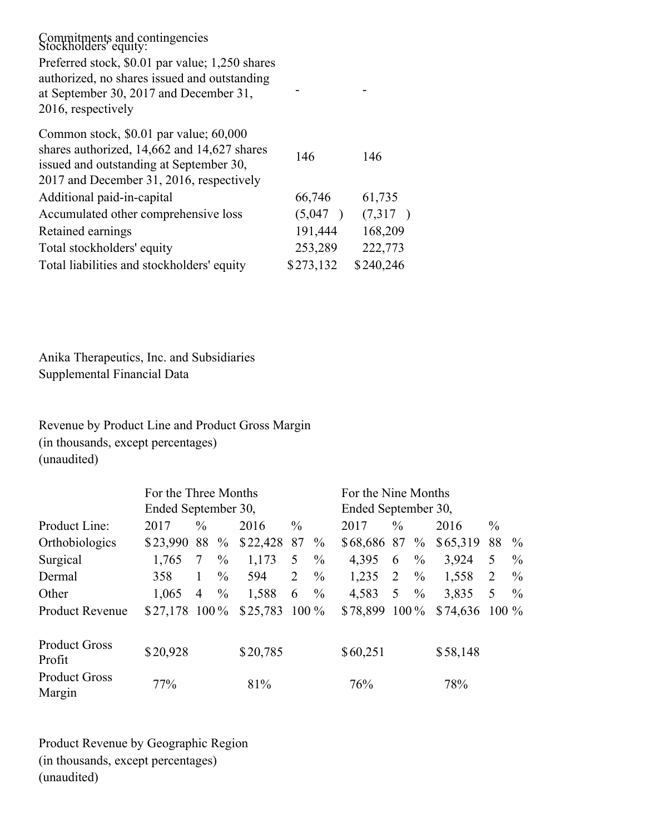| Commitments and contingencies<br>Stockholders' equity:                                                                                                                       |           |           |
|------------------------------------------------------------------------------------------------------------------------------------------------------------------------------|-----------|-----------|
| Preferred stock, \$0.01 par value; 1,250 shares<br>authorized, no shares issued and outstanding<br>at September 30, 2017 and December 31,<br>2016, respectively              |           |           |
| Common stock, \$0.01 par value; 60,000<br>shares authorized, 14,662 and 14,627 shares<br>issued and outstanding at September 30,<br>2017 and December 31, 2016, respectively | 146       | 146       |
| Additional paid-in-capital                                                                                                                                                   | 66,746    | 61,735    |
| Accumulated other comprehensive loss                                                                                                                                         | (5,047)   | (7,317)   |
| Retained earnings                                                                                                                                                            | 191,444   | 168,209   |
| Total stockholders' equity                                                                                                                                                   | 253,289   | 222,773   |
| Total liabilities and stockholders' equity                                                                                                                                   | \$273,132 | \$240,246 |

Anika Therapeutics, Inc. and Subsidiaries Supplemental Financial Data

Revenue by Product Line and Product Gross Margin (in thousands, except percentages) (unaudited)

|                                | For the Three Months<br>Ended September 30, |               |               |          | For the Nine Months<br>Ended September 30, |               |                 |                |               |          |               |               |
|--------------------------------|---------------------------------------------|---------------|---------------|----------|--------------------------------------------|---------------|-----------------|----------------|---------------|----------|---------------|---------------|
| Product Line:                  | 2017                                        | $\frac{0}{0}$ |               | 2016     | $\frac{0}{0}$                              |               | 2017            | $\frac{0}{0}$  |               | 2016     | $\frac{0}{0}$ |               |
| Orthobiologics                 | \$23,990                                    | 88 %          |               | \$22,428 | 87                                         | $\frac{0}{0}$ | \$68,686 87 %   |                |               | \$65,319 | 88            | $\%$          |
| Surgical                       | 1,765                                       | 7             | $\frac{0}{0}$ | 1,173    | 5                                          | $\frac{0}{0}$ | 4,395           | 6              | $\frac{0}{0}$ | 3,924    | 5             | $\frac{0}{0}$ |
| Dermal                         | 358                                         |               | $\frac{0}{0}$ | 594      | 2                                          | $\frac{0}{0}$ | 1,235           | 2              | $\frac{0}{0}$ | 1,558    | 2             | $\frac{0}{0}$ |
| Other                          | 1,065                                       | 4             | $\%$          | 1,588    | 6                                          | $\frac{0}{0}$ | 4,583           | 5 <sup>5</sup> | $\%$          | 3,835    | 5             | $\frac{0}{0}$ |
| <b>Product Revenue</b>         | $$27,178$ 100 %                             |               |               | \$25,783 | $100\%$                                    |               | $$78,899$ 100 % |                |               | \$74,636 | $100\%$       |               |
| <b>Product Gross</b><br>Profit | \$20,928                                    |               |               | \$20,785 |                                            |               | \$60,251        |                |               | \$58,148 |               |               |
| <b>Product Gross</b><br>Margin | 77%                                         |               |               | 81%      |                                            |               | 76%             |                |               | 78%      |               |               |

Product Revenue by Geographic Region (in thousands, except percentages) (unaudited)